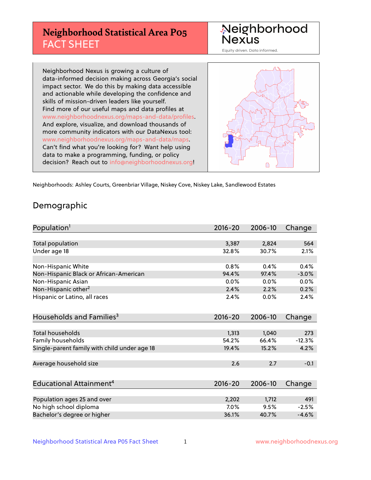# **Neighborhood Statistical Area P05** FACT SHEET



Equity driven. Data informed.

Neighborhood Nexus is growing a culture of data-informed decision making across Georgia's social impact sector. We do this by making data accessible and actionable while developing the confidence and skills of mission-driven leaders like yourself. Find more of our useful maps and data profiles at www.neighborhoodnexus.org/maps-and-data/profiles. And explore, visualize, and download thousands of more community indicators with our DataNexus tool: www.neighborhoodnexus.org/maps-and-data/maps. Can't find what you're looking for? Want help using data to make a programming, funding, or policy decision? Reach out to [info@neighborhoodnexus.org!](mailto:info@neighborhoodnexus.org)



Neighborhoods: Ashley Courts, Greenbriar Village, Niskey Cove, Niskey Lake, Sandlewood Estates

### Demographic

| Population <sup>1</sup>                      | $2016 - 20$ | 2006-10 | Change   |
|----------------------------------------------|-------------|---------|----------|
|                                              |             |         |          |
| Total population                             | 3,387       | 2,824   | 564      |
| Under age 18                                 | 32.8%       | 30.7%   | 2.1%     |
|                                              |             |         |          |
| Non-Hispanic White                           | 0.8%        | 0.4%    | 0.4%     |
| Non-Hispanic Black or African-American       | 94.4%       | 97.4%   | $-3.0%$  |
| Non-Hispanic Asian                           | 0.0%        | $0.0\%$ | $0.0\%$  |
| Non-Hispanic other <sup>2</sup>              | 2.4%        | 2.2%    | 0.2%     |
| Hispanic or Latino, all races                | 2.4%        | 0.0%    | 2.4%     |
|                                              |             |         |          |
| Households and Families <sup>3</sup>         | $2016 - 20$ | 2006-10 | Change   |
|                                              |             |         |          |
| <b>Total households</b>                      | 1,313       | 1,040   | 273      |
| Family households                            | 54.2%       | 66.4%   | $-12.3%$ |
| Single-parent family with child under age 18 | 19.4%       | 15.2%   | 4.2%     |
|                                              |             |         |          |
| Average household size                       | 2.6         | 2.7     | $-0.1$   |
|                                              |             |         |          |
| Educational Attainment <sup>4</sup>          | $2016 - 20$ | 2006-10 | Change   |
|                                              |             |         |          |
| Population ages 25 and over                  | 2,202       | 1,712   | 491      |
| No high school diploma                       | 7.0%        | 9.5%    | $-2.5%$  |
| Bachelor's degree or higher                  | 36.1%       | 40.7%   | $-4.6%$  |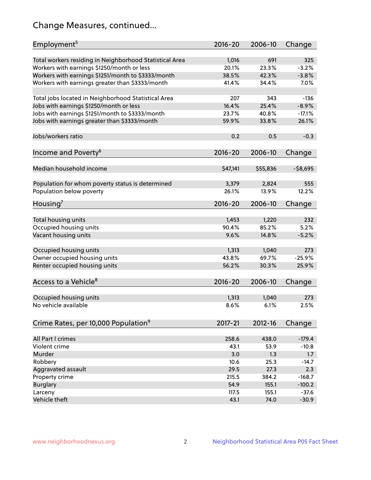# Change Measures, continued...

| Employment <sup>5</sup>                                 | $2016 - 20$ | 2006-10  | Change      |
|---------------------------------------------------------|-------------|----------|-------------|
|                                                         |             |          |             |
| Total workers residing in Neighborhood Statistical Area | 1,016       | 691      | 325         |
| Workers with earnings \$1250/month or less              | 20.1%       | 23.3%    | $-3.2%$     |
| Workers with earnings \$1251/month to \$3333/month      | 38.5%       | 42.3%    | $-3.8%$     |
| Workers with earnings greater than \$3333/month         | 41.4%       | 34.4%    | 7.0%        |
| Total jobs located in Neighborhood Statistical Area     | 207         | 343      | $-136$      |
| Jobs with earnings \$1250/month or less                 | 16.4%       | 25.4%    | $-8.9%$     |
| Jobs with earnings \$1251/month to \$3333/month         | 23.7%       | 40.8%    | $-17.1%$    |
| Jobs with earnings greater than \$3333/month            | 59.9%       | 33.8%    | 26.1%       |
|                                                         |             |          |             |
| Jobs/workers ratio                                      | 0.2         | 0.5      | $-0.3$      |
|                                                         |             |          |             |
| Income and Poverty <sup>6</sup>                         | 2016-20     | 2006-10  | Change      |
| Median household income                                 | \$47,141    | \$55,836 | $-$ \$8,695 |
|                                                         |             |          |             |
| Population for whom poverty status is determined        | 3,379       | 2,824    | 555         |
| Population below poverty                                | 26.1%       | 13.9%    | 12.2%       |
| Housing <sup>7</sup>                                    | 2016-20     | 2006-10  | Change      |
|                                                         |             |          |             |
| Total housing units                                     | 1,453       | 1,220    | 232         |
| Occupied housing units                                  | 90.4%       | 85.2%    | 5.2%        |
| Vacant housing units                                    | 9.6%        | 14.8%    | $-5.2%$     |
|                                                         |             |          |             |
| Occupied housing units                                  | 1,313       | 1,040    | 273         |
| Owner occupied housing units                            | 43.8%       | 69.7%    | $-25.9%$    |
| Renter occupied housing units                           | 56.2%       | 30.3%    | 25.9%       |
|                                                         |             |          |             |
| Access to a Vehicle <sup>8</sup>                        | $2016 - 20$ | 2006-10  | Change      |
|                                                         |             |          |             |
| Occupied housing units                                  | 1,313       | 1,040    | 273         |
| No vehicle available                                    | 8.6%        | 6.1%     | 2.5%        |
|                                                         |             |          |             |
| Crime Rates, per 10,000 Population <sup>9</sup>         | 2017-21     | 2012-16  | Change      |
|                                                         |             |          |             |
| All Part I crimes                                       | 258.6       | 438.0    | $-179.4$    |
| Violent crime                                           | 43.1        | 53.9     | $-10.8$     |
| Murder                                                  | 3.0         | 1.3      | 1.7         |
| Robbery                                                 | 10.6        | 25.3     | $-14.7$     |
| Aggravated assault                                      | 29.5        | 27.3     | 2.3         |
| Property crime                                          | 215.5       | 384.2    | $-168.7$    |
| <b>Burglary</b>                                         | 54.9        | 155.1    | $-100.2$    |
| Larceny                                                 | 117.5       | 155.1    | $-37.6$     |
| Vehicle theft                                           | 43.1        | 74.0     | $-30.9$     |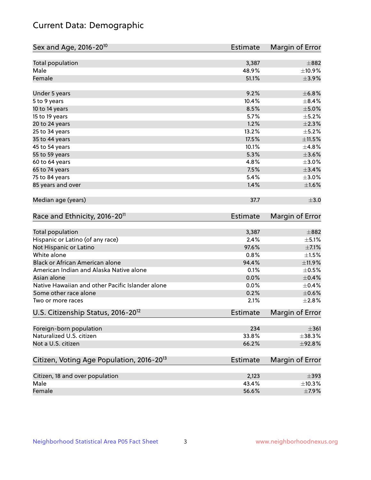# Current Data: Demographic

| Sex and Age, 2016-20 <sup>10</sup>                    | <b>Estimate</b> | Margin of Error |
|-------------------------------------------------------|-----------------|-----------------|
| Total population                                      | 3,387           | $\pm$ 882       |
| Male                                                  | 48.9%           | ±10.9%          |
| Female                                                | 51.1%           | $\pm$ 3.9%      |
| Under 5 years                                         | 9.2%            | ±6.8%           |
| 5 to 9 years                                          | 10.4%           | $\pm$ 8.4%      |
| 10 to 14 years                                        | 8.5%            | $\pm$ 5.0%      |
| 15 to 19 years                                        | 5.7%            | $\pm$ 5.2%      |
| 20 to 24 years                                        | 1.2%            | $\pm 2.3\%$     |
| 25 to 34 years                                        | 13.2%           | $\pm$ 5.2%      |
| 35 to 44 years                                        | 17.5%           | $\pm$ 11.5%     |
| 45 to 54 years                                        | 10.1%           | ±4.8%           |
| 55 to 59 years                                        | 5.3%            | $\pm 3.6\%$     |
| 60 to 64 years                                        | 4.8%            | $\pm 3.0\%$     |
| 65 to 74 years                                        | 7.5%            | $\pm$ 3.4%      |
| 75 to 84 years                                        | 5.4%            | $\pm 3.0\%$     |
| 85 years and over                                     | 1.4%            | ±1.6%           |
| Median age (years)                                    | 37.7            | $\pm$ 3.0       |
| Race and Ethnicity, 2016-20 <sup>11</sup>             | <b>Estimate</b> | Margin of Error |
| Total population                                      | 3,387           | $\pm$ 882       |
| Hispanic or Latino (of any race)                      | 2.4%            | $\pm$ 5.1%      |
| Not Hispanic or Latino                                | 97.6%           | $\pm$ 7.1%      |
| White alone                                           | 0.8%            | $\pm 1.5\%$     |
| Black or African American alone                       | 94.4%           | $\pm$ 11.9%     |
| American Indian and Alaska Native alone               | 0.1%            | $\pm$ 0.5%      |
| Asian alone                                           | 0.0%            | $\pm$ 0.4%      |
| Native Hawaiian and other Pacific Islander alone      | 0.0%            | $\pm$ 0.4%      |
| Some other race alone                                 | 0.2%            | $\pm$ 0.6%      |
| Two or more races                                     | 2.1%            | ±2.8%           |
| U.S. Citizenship Status, 2016-20 <sup>12</sup>        | Estimate        | Margin of Error |
| Foreign-born population                               | 234             | $\pm 361$       |
| Naturalized U.S. citizen                              | 33.8%           | $\pm$ 38.3%     |
| Not a U.S. citizen                                    | 66.2%           | ±92.8%          |
| Citizen, Voting Age Population, 2016-20 <sup>13</sup> | <b>Estimate</b> | Margin of Error |
| Citizen, 18 and over population                       | 2,123           | $\pm$ 393       |
| Male                                                  | 43.4%           | $\pm$ 10.3%     |
| Female                                                | 56.6%           | $\pm$ 7.9%      |
|                                                       |                 |                 |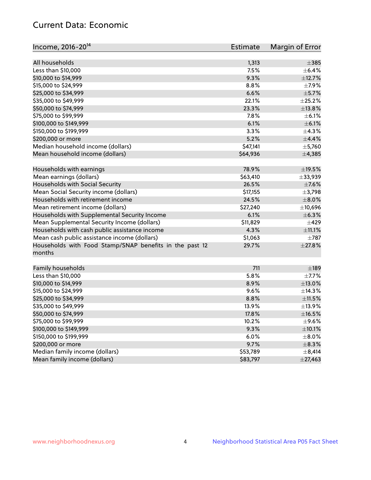# Current Data: Economic

| Income, 2016-20 <sup>14</sup>                                     | Estimate | Margin of Error |
|-------------------------------------------------------------------|----------|-----------------|
|                                                                   |          |                 |
| All households                                                    | 1,313    | $\pm$ 385       |
| Less than \$10,000                                                | 7.5%     | $\pm$ 6.4%      |
| \$10,000 to \$14,999                                              | 9.3%     | ±12.7%          |
| \$15,000 to \$24,999                                              | 8.8%     | $\pm$ 7.9%      |
| \$25,000 to \$34,999                                              | 6.6%     | $\pm$ 5.7%      |
| \$35,000 to \$49,999                                              | 22.1%    | ±25.2%          |
| \$50,000 to \$74,999                                              | 23.3%    | ±13.8%          |
| \$75,000 to \$99,999                                              | 7.8%     | $\pm$ 6.1%      |
| \$100,000 to \$149,999                                            | 6.1%     | $\pm$ 6.1%      |
| \$150,000 to \$199,999                                            | 3.3%     | $\pm$ 4.3%      |
| \$200,000 or more                                                 | 5.2%     | $\pm$ 4.4%      |
| Median household income (dollars)                                 | \$47,141 | $\pm$ 5,760     |
| Mean household income (dollars)                                   | \$64,936 | ±4,385          |
| Households with earnings                                          | 78.9%    | $\pm$ 19.5%     |
| Mean earnings (dollars)                                           | \$63,410 | $\pm$ 33,939    |
| Households with Social Security                                   | 26.5%    | $\pm$ 7.6%      |
| Mean Social Security income (dollars)                             | \$17,155 | ±3,798          |
| Households with retirement income                                 | 24.5%    | $\pm$ 8.0%      |
| Mean retirement income (dollars)                                  | \$27,240 | ±10,696         |
| Households with Supplemental Security Income                      | 6.1%     | $\pm$ 6.3%      |
|                                                                   | \$11,829 | $\pm 429$       |
| Mean Supplemental Security Income (dollars)                       |          | $\pm$ 11.1%     |
| Households with cash public assistance income                     | 4.3%     |                 |
| Mean cash public assistance income (dollars)                      | \$1,063  | $\pm 787$       |
| Households with Food Stamp/SNAP benefits in the past 12<br>months | 29.7%    | ±27.8%          |
| Family households                                                 | 711      | $\pm$ 189       |
| Less than \$10,000                                                | 5.8%     | $\pm$ 7.7%      |
| \$10,000 to \$14,999                                              | 8.9%     | ±13.0%          |
| \$15,000 to \$24,999                                              | 9.6%     | ±14.3%          |
| \$25,000 to \$34,999                                              | 8.8%     | ±11.5%          |
| \$35,000 to \$49,999                                              | 13.9%    | ±13.9%          |
| \$50,000 to \$74,999                                              | 17.8%    | $\pm$ 16.5%     |
| \$75,000 to \$99,999                                              | 10.2%    | $\pm$ 9.6%      |
| \$100,000 to \$149,999                                            | 9.3%     | $\pm$ 10.1%     |
| \$150,000 to \$199,999                                            | 6.0%     | $\pm$ 8.0%      |
| \$200,000 or more                                                 | 9.7%     | $\pm$ 8.3%      |
| Median family income (dollars)                                    | \$53,789 | $\pm$ 8,414     |
| Mean family income (dollars)                                      | \$83,797 | $\pm$ 27,463    |
|                                                                   |          |                 |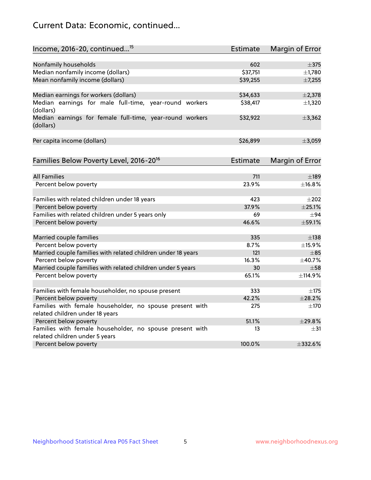# Current Data: Economic, continued...

| Income, 2016-20, continued <sup>15</sup>                                                    | <b>Estimate</b> | Margin of Error          |
|---------------------------------------------------------------------------------------------|-----------------|--------------------------|
|                                                                                             |                 |                          |
| Nonfamily households<br>Median nonfamily income (dollars)                                   | 602<br>\$37,751 | $\pm$ 375<br>$\pm$ 1,780 |
| Mean nonfamily income (dollars)                                                             |                 |                          |
|                                                                                             | \$39,255        | ±7,255                   |
| Median earnings for workers (dollars)                                                       | \$34,633        | ±2,378                   |
| Median earnings for male full-time, year-round workers<br>(dollars)                         | \$38,417        | ±1,320                   |
| Median earnings for female full-time, year-round workers<br>(dollars)                       | \$32,922        | ±3,362                   |
| Per capita income (dollars)                                                                 | \$26,899        | ±3,059                   |
| Families Below Poverty Level, 2016-20 <sup>16</sup>                                         | Estimate        | Margin of Error          |
|                                                                                             |                 |                          |
| <b>All Families</b>                                                                         | 711             | $\pm$ 189                |
| Percent below poverty                                                                       | 23.9%           | ±16.8%                   |
| Families with related children under 18 years                                               | 423             | $\pm 202$                |
| Percent below poverty                                                                       | 37.9%           | $\pm 25.1\%$             |
| Families with related children under 5 years only                                           | 69              | ±94                      |
| Percent below poverty                                                                       | 46.6%           | ±59.1%                   |
| Married couple families                                                                     | 335             | $\pm$ 138                |
| Percent below poverty                                                                       | 8.7%            | ±15.9%                   |
| Married couple families with related children under 18 years                                | 121             | $\pm$ 85                 |
| Percent below poverty                                                                       | 16.3%           | ±40.7%                   |
| Married couple families with related children under 5 years                                 | 30              | $+58$                    |
| Percent below poverty                                                                       | 65.1%           | ±114.9%                  |
|                                                                                             |                 |                          |
| Families with female householder, no spouse present                                         | 333             | $\pm$ 175                |
| Percent below poverty                                                                       | 42.2%           | ±28.2%                   |
| Families with female householder, no spouse present with<br>related children under 18 years | 275             | $\pm$ 170                |
| Percent below poverty                                                                       | 51.1%           | $+29.8%$                 |
| Families with female householder, no spouse present with                                    | 13              | $\pm$ 31                 |
| related children under 5 years                                                              |                 |                          |
| Percent below poverty                                                                       | 100.0%          | $\pm$ 332.6%             |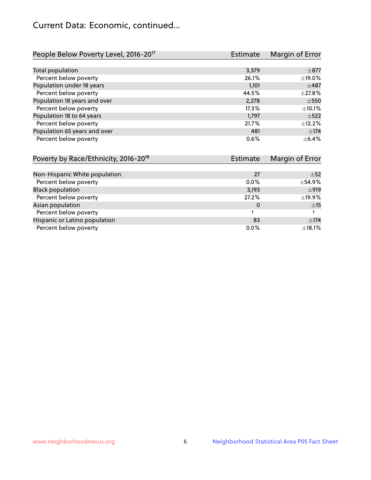# Current Data: Economic, continued...

| People Below Poverty Level, 2016-20 <sup>17</sup> | <b>Estimate</b> | Margin of Error |
|---------------------------------------------------|-----------------|-----------------|
|                                                   |                 |                 |
| Total population                                  | 3,379           | $\pm$ 877       |
| Percent below poverty                             | 26.1%           | ±19.0%          |
| Population under 18 years                         | 1,101           | $\pm$ 487       |
| Percent below poverty                             | 44.5%           | ±27.8%          |
| Population 18 years and over                      | 2,278           | $\pm$ 550       |
| Percent below poverty                             | 17.3%           | ±10.1%          |
| Population 18 to 64 years                         | 1,797           | $\pm$ 522       |
| Percent below poverty                             | 21.7%           | ±12.2%          |
| Population 65 years and over                      | 481             | ±174            |
| Percent below poverty                             | 0.6%            | $\pm$ 6.4%      |

| Poverty by Race/Ethnicity, 2016-20 <sup>18</sup> | Margin of Error<br><b>Estimate</b> |             |
|--------------------------------------------------|------------------------------------|-------------|
|                                                  |                                    |             |
| Non-Hispanic White population                    | 27                                 | $\pm$ 52    |
| Percent below poverty                            | $0.0\%$                            | ±54.9%      |
| <b>Black population</b>                          | 3,193                              | ±919        |
| Percent below poverty                            | 27.2%                              | ±19.9%      |
| Asian population                                 | 0                                  | ±15         |
| Percent below poverty                            |                                    |             |
| Hispanic or Latino population                    | 83                                 | $\pm$ 174   |
| Percent below poverty                            | $0.0\%$                            | $\pm$ 18.1% |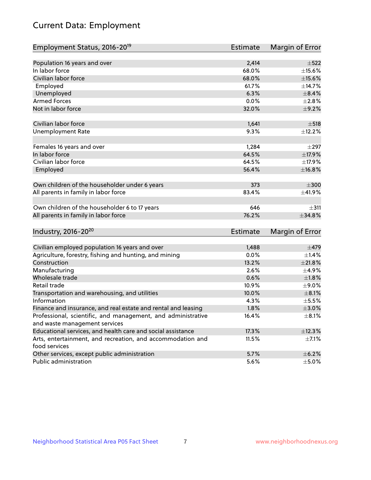# Current Data: Employment

| Employment Status, 2016-20 <sup>19</sup>                      | Estimate        | Margin of Error |
|---------------------------------------------------------------|-----------------|-----------------|
|                                                               |                 |                 |
| Population 16 years and over                                  | 2,414           | $\pm$ 522       |
| In labor force                                                | 68.0%           | $\pm$ 15.6%     |
| Civilian labor force                                          | 68.0%           | $\pm$ 15.6%     |
| Employed                                                      | 61.7%           | ±14.7%          |
| Unemployed                                                    | 6.3%            | $\pm$ 8.4%      |
| <b>Armed Forces</b>                                           | 0.0%            | $\pm 2.8\%$     |
| Not in labor force                                            | 32.0%           | $\pm$ 9.2%      |
| Civilian labor force                                          | 1,641           | $\pm$ 518       |
| <b>Unemployment Rate</b>                                      | 9.3%            | ±12.2%          |
| Females 16 years and over                                     | 1,284           | $\pm$ 297       |
| In labor force                                                | 64.5%           | ±17.9%          |
| Civilian labor force                                          | 64.5%           | ±17.9%          |
| Employed                                                      | 56.4%           | ±16.8%          |
| Own children of the householder under 6 years                 | 373             | $\pm 300$       |
| All parents in family in labor force                          | 83.4%           | ±41.9%          |
|                                                               |                 |                 |
| Own children of the householder 6 to 17 years                 | 646             | $+311$          |
| All parents in family in labor force                          | 76.2%           | $\pm$ 34.8%     |
|                                                               |                 |                 |
| Industry, 2016-20 <sup>20</sup>                               | <b>Estimate</b> | Margin of Error |
| Civilian employed population 16 years and over                | 1,488           | $\pm$ 479       |
| Agriculture, forestry, fishing and hunting, and mining        | 0.0%            | $\pm$ 1.4%      |
| Construction                                                  | 13.2%           | ±21.8%          |
| Manufacturing                                                 | 2.6%            | $\pm$ 4.9%      |
| Wholesale trade                                               | 0.6%            | $\pm1.8\%$      |
| Retail trade                                                  | 10.9%           | $\pm$ 9.0%      |
| Transportation and warehousing, and utilities                 | 10.0%           | $\pm$ 8.1%      |
| Information                                                   | 4.3%            | $\pm$ 5.5%      |
| Finance and insurance, and real estate and rental and leasing | 1.8%            | $\pm 3.0\%$     |
| Professional, scientific, and management, and administrative  | 16.4%           | $\pm$ 8.1%      |
| and waste management services                                 |                 |                 |
| Educational services, and health care and social assistance   | 17.3%           | ±12.3%          |
| Arts, entertainment, and recreation, and accommodation and    | 11.5%           | $\pm$ 7.1%      |
| food services                                                 |                 |                 |
| Other services, except public administration                  | 5.7%            | $\pm$ 6.2%      |
| Public administration                                         | 5.6%            | $\pm$ 5.0%      |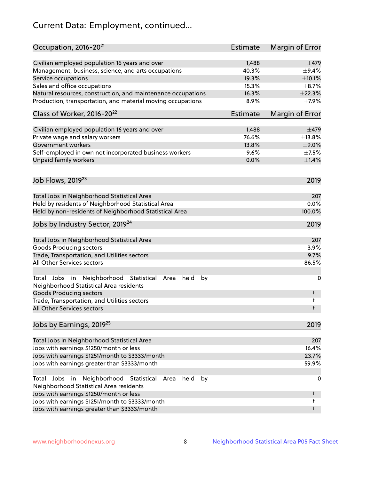# Current Data: Employment, continued...

| Occupation, 2016-20 <sup>21</sup>                                                                    | Estimate        | Margin of Error |
|------------------------------------------------------------------------------------------------------|-----------------|-----------------|
| Civilian employed population 16 years and over                                                       | 1,488           | $\pm$ 479       |
| Management, business, science, and arts occupations                                                  | 40.3%           | $\pm$ 9.4%      |
| Service occupations                                                                                  | 19.3%           | $\pm 10.1\%$    |
| Sales and office occupations                                                                         | 15.3%           | $\pm$ 8.7%      |
| Natural resources, construction, and maintenance occupations                                         | 16.3%           | $\pm 22.3\%$    |
| Production, transportation, and material moving occupations                                          | 8.9%            | $\pm$ 7.9%      |
| Class of Worker, 2016-20 <sup>22</sup>                                                               | <b>Estimate</b> | Margin of Error |
| Civilian employed population 16 years and over                                                       | 1,488           | $\pm$ 479       |
| Private wage and salary workers                                                                      | 76.6%           | ±13.8%          |
| Government workers                                                                                   | 13.8%           | $\pm$ 9.0%      |
| Self-employed in own not incorporated business workers                                               | 9.6%            | $\pm$ 7.5%      |
| Unpaid family workers                                                                                | 0.0%            | $\pm1.4\%$      |
| Job Flows, 2019 <sup>23</sup>                                                                        |                 | 2019            |
|                                                                                                      |                 |                 |
| Total Jobs in Neighborhood Statistical Area<br>Held by residents of Neighborhood Statistical Area    |                 | 207<br>0.0%     |
|                                                                                                      |                 | 100.0%          |
| Held by non-residents of Neighborhood Statistical Area                                               |                 |                 |
| Jobs by Industry Sector, 2019 <sup>24</sup>                                                          |                 | 2019            |
| Total Jobs in Neighborhood Statistical Area                                                          |                 | 207             |
| <b>Goods Producing sectors</b>                                                                       |                 | 3.9%            |
| Trade, Transportation, and Utilities sectors                                                         |                 | 9.7%            |
| All Other Services sectors                                                                           |                 | 86.5%           |
| Total Jobs in Neighborhood Statistical Area<br>held<br>by<br>Neighborhood Statistical Area residents |                 | 0               |
| <b>Goods Producing sectors</b>                                                                       |                 | t               |
| Trade, Transportation, and Utilities sectors<br>All Other Services sectors                           |                 | t<br>t          |
|                                                                                                      |                 |                 |
| Jobs by Earnings, 2019 <sup>25</sup>                                                                 |                 | 2019            |
| Total Jobs in Neighborhood Statistical Area                                                          |                 | 207             |
| Jobs with earnings \$1250/month or less                                                              |                 | 16.4%           |
| Jobs with earnings \$1251/month to \$3333/month                                                      |                 | 23.7%           |
| Jobs with earnings greater than \$3333/month                                                         |                 | 59.9%           |
| Neighborhood Statistical<br>Jobs<br>in<br>held<br>by<br>Total<br>Area                                |                 | 0               |
| Neighborhood Statistical Area residents                                                              |                 |                 |
| Jobs with earnings \$1250/month or less                                                              |                 | t               |
| Jobs with earnings \$1251/month to \$3333/month                                                      |                 | t               |
| Jobs with earnings greater than \$3333/month                                                         |                 | t               |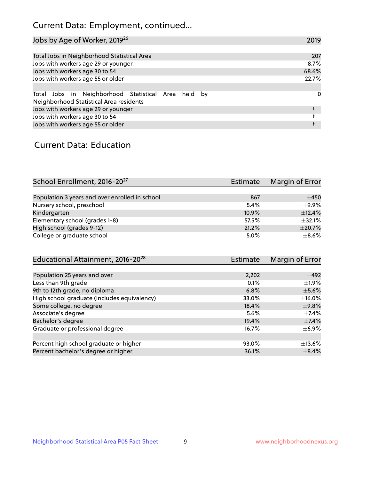# Current Data: Employment, continued...

| Jobs by Age of Worker, 2019 <sup>26</sup>                                                      | 2019  |
|------------------------------------------------------------------------------------------------|-------|
|                                                                                                |       |
| Total Jobs in Neighborhood Statistical Area                                                    | 207   |
| Jobs with workers age 29 or younger                                                            | 8.7%  |
| Jobs with workers age 30 to 54                                                                 | 68.6% |
| Jobs with workers age 55 or older                                                              | 22.7% |
|                                                                                                |       |
| Total Jobs in Neighborhood Statistical Area held by<br>Neighborhood Statistical Area residents | 0     |
| Jobs with workers age 29 or younger                                                            |       |
| Jobs with workers age 30 to 54                                                                 |       |
| Jobs with workers age 55 or older                                                              |       |

### Current Data: Education

| School Enrollment, 2016-20 <sup>27</sup>       | Estimate | Margin of Error |
|------------------------------------------------|----------|-----------------|
|                                                |          |                 |
| Population 3 years and over enrolled in school | 867      | $\pm 450$       |
| Nursery school, preschool                      | 5.4%     | $\pm$ 9.9%      |
| Kindergarten                                   | 10.9%    | ±12.4%          |
| Elementary school (grades 1-8)                 | 57.5%    | ±32.1%          |
| High school (grades 9-12)                      | 21.2%    | $\pm 20.7\%$    |
| College or graduate school                     | 5.0%     | $\pm$ 8.6%      |

| Educational Attainment, 2016-20 <sup>28</sup> | <b>Estimate</b> | Margin of Error |
|-----------------------------------------------|-----------------|-----------------|
|                                               |                 |                 |
| Population 25 years and over                  | 2,202           | $\pm$ 492       |
| Less than 9th grade                           | 0.1%            | $\pm 1.9\%$     |
| 9th to 12th grade, no diploma                 | 6.8%            | $\pm$ 5.6%      |
| High school graduate (includes equivalency)   | 33.0%           | $\pm$ 16.0%     |
| Some college, no degree                       | 18.4%           | $\pm$ 9.8%      |
| Associate's degree                            | 5.6%            | $\pm$ 7.4%      |
| Bachelor's degree                             | 19.4%           | $\pm$ 7.4%      |
| Graduate or professional degree               | 16.7%           | $\pm$ 6.9%      |
|                                               |                 |                 |
| Percent high school graduate or higher        | 93.0%           | $\pm$ 13.6%     |
| Percent bachelor's degree or higher           | 36.1%           | $\pm$ 8.4%      |
|                                               |                 |                 |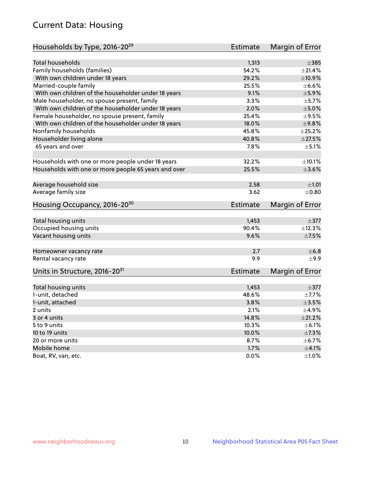# Current Data: Housing

| Households by Type, 2016-20 <sup>29</sup>            | <b>Estimate</b> | Margin of Error |
|------------------------------------------------------|-----------------|-----------------|
|                                                      |                 |                 |
| <b>Total households</b>                              | 1,313           | $\pm$ 385       |
| Family households (families)                         | 54.2%           | $\pm 21.4\%$    |
| With own children under 18 years                     | 29.2%           | ±10.9%          |
| Married-couple family                                | 25.5%           | $\pm$ 6.6%      |
| With own children of the householder under 18 years  | 9.1%            | $\pm$ 5.9%      |
| Male householder, no spouse present, family          | 3.3%            | $\pm$ 5.7%      |
| With own children of the householder under 18 years  | 2.0%            | $\pm$ 5.0%      |
| Female householder, no spouse present, family        | 25.4%           | $\pm$ 9.5%      |
| With own children of the householder under 18 years  | 18.0%           | ±9.8%           |
| Nonfamily households                                 | 45.8%           | ±25.2%          |
| Householder living alone                             | 40.8%           | $\pm 27.5\%$    |
| 65 years and over                                    | 7.8%            | $\pm$ 5.1%      |
|                                                      |                 |                 |
| Households with one or more people under 18 years    | 32.2%           | ±10.1%          |
| Households with one or more people 65 years and over | 25.5%           | $\pm 3.6\%$     |
| Average household size                               | 2.58            | ±1.01           |
| Average family size                                  | 3.62            |                 |
|                                                      |                 | $\pm$ 0.80      |
| Housing Occupancy, 2016-20 <sup>30</sup>             | <b>Estimate</b> | Margin of Error |
| Total housing units                                  | 1,453           | $\pm$ 377       |
| Occupied housing units                               | 90.4%           | ±12.3%          |
| Vacant housing units                                 | 9.6%            | $\pm$ 7.5%      |
|                                                      |                 |                 |
| Homeowner vacancy rate                               | 2.7             | $\pm$ 6.8       |
| Rental vacancy rate                                  | 9.9             | $\pm$ 9.9       |
| Units in Structure, 2016-20 <sup>31</sup>            | <b>Estimate</b> | Margin of Error |
|                                                      |                 |                 |
| Total housing units                                  | 1,453           | $\pm$ 377       |
| 1-unit, detached                                     | 48.6%           | $\pm$ 7.7%      |
| 1-unit, attached                                     | 3.8%            | $\pm 3.5\%$     |
| 2 units                                              | 2.1%            | $\pm$ 4.9%      |
| 3 or 4 units                                         | 14.8%           | ±21.2%          |
| 5 to 9 units                                         | 10.3%           | $\pm$ 6.1%      |
| 10 to 19 units                                       | 10.0%           | ±7.3%           |
| 20 or more units                                     | 8.7%            | ±6.7%           |
| Mobile home                                          | 1.7%            | $\pm 4.1\%$     |
| Boat, RV, van, etc.                                  | $0.0\%$         | $\pm 1.0\%$     |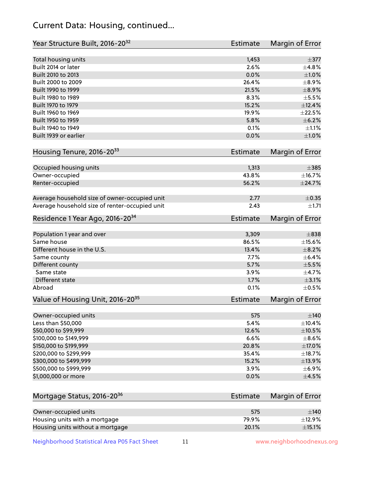# Current Data: Housing, continued...

| Year Structure Built, 2016-20 <sup>32</sup>    | <b>Estimate</b> | Margin of Error |
|------------------------------------------------|-----------------|-----------------|
| Total housing units                            | 1,453           | $\pm$ 377       |
| Built 2014 or later                            | 2.6%            | ±4.8%           |
| Built 2010 to 2013                             | 0.0%            | $\pm1.0\%$      |
| Built 2000 to 2009                             | 26.4%           | $\pm$ 8.9%      |
| Built 1990 to 1999                             | 21.5%           | $\pm$ 8.9%      |
| Built 1980 to 1989                             | 8.3%            | $\pm$ 5.5%      |
| Built 1970 to 1979                             | 15.2%           | ±12.4%          |
| Built 1960 to 1969                             | 19.9%           | $\pm 22.5\%$    |
| Built 1950 to 1959                             | 5.8%            | $\pm$ 6.2%      |
| Built 1940 to 1949                             | 0.1%            | $\pm 1.1\%$     |
| Built 1939 or earlier                          | 0.0%            | $\pm1.0\%$      |
| Housing Tenure, 2016-2033                      | <b>Estimate</b> | Margin of Error |
| Occupied housing units                         | 1,313           | $\pm 385$       |
| Owner-occupied                                 | 43.8%           | ±16.7%          |
| Renter-occupied                                | 56.2%           | ±24.7%          |
|                                                |                 |                 |
| Average household size of owner-occupied unit  | 2.77            | $\pm$ 0.35      |
| Average household size of renter-occupied unit | 2.43            | ±1.71           |
| Residence 1 Year Ago, 2016-20 <sup>34</sup>    | <b>Estimate</b> | Margin of Error |
| Population 1 year and over                     | 3,309           | $\pm 838$       |
| Same house                                     | 86.5%           | $\pm$ 15.6%     |
| Different house in the U.S.                    | 13.4%           | $\pm$ 8.2%      |
| Same county                                    | 7.7%            | $\pm$ 6.4%      |
| Different county                               | 5.7%            | $\pm$ 5.5%      |
| Same state                                     | 3.9%            | $\pm$ 4.7%      |
| Different state                                | 1.7%            | $\pm$ 3.1%      |
| Abroad                                         | 0.1%            | $\pm$ 0.5%      |
| Value of Housing Unit, 2016-20 <sup>35</sup>   | <b>Estimate</b> | Margin of Error |
| Owner-occupied units                           | 575             | $\pm$ 140       |
| Less than \$50,000                             | 5.4%            | ±10.4%          |
| \$50,000 to \$99,999                           | 12.6%           | $\pm 10.5\%$    |
| \$100,000 to \$149,999                         | 6.6%            | $\pm$ 8.6%      |
| \$150,000 to \$199,999                         | 20.8%           | ±17.0%          |
| \$200,000 to \$299,999                         | 35.4%           | ±18.7%          |
| \$300,000 to \$499,999                         | 15.2%           | ±13.9%          |
| \$500,000 to \$999,999                         | 3.9%            | $\pm$ 6.9%      |
| \$1,000,000 or more                            | 0.0%            | $\pm 4.5\%$     |
| Mortgage Status, 2016-20 <sup>36</sup>         | <b>Estimate</b> | Margin of Error |
|                                                |                 |                 |
| Owner-occupied units                           | 575             | $\pm$ 140       |
| Housing units with a mortgage                  | 79.9%           | ±12.9%          |
| Housing units without a mortgage               | 20.1%           | $\pm$ 15.1%     |

Neighborhood Statistical Area P05 Fact Sheet 11 11 www.neighborhoodnexus.org

Housing units without a mortgage 20.1%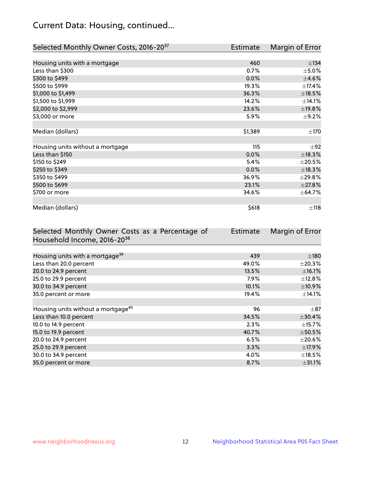# Current Data: Housing, continued...

| Selected Monthly Owner Costs, 2016-20 <sup>37</sup> | <b>Estimate</b> | Margin of Error |
|-----------------------------------------------------|-----------------|-----------------|
|                                                     |                 |                 |
| Housing units with a mortgage                       | 460             | ±134            |
| Less than \$300                                     | 0.7%            | $\pm$ 5.0%      |
| \$300 to \$499                                      | 0.0%            | $\pm 4.6\%$     |
| \$500 to \$999                                      | 19.3%           | ±17.4%          |
| \$1,000 to \$1,499                                  | 36.3%           | $\pm$ 18.5%     |
| \$1,500 to \$1,999                                  | 14.2%           | ±14.1%          |
| \$2,000 to \$2,999                                  | 23.6%           | ±19.8%          |
| \$3,000 or more                                     | 5.9%            | $\pm$ 9.2%      |
|                                                     |                 |                 |
| Median (dollars)                                    | \$1,389         | ±170            |
|                                                     |                 |                 |
| Housing units without a mortgage                    | 115             | $\pm 92$        |
| Less than \$150                                     | 0.0%            | ±18.3%          |
| \$150 to \$249                                      | 5.4%            | $\pm 20.5\%$    |
| \$250 to \$349                                      | 0.0%            | ±18.3%          |
| \$350 to \$499                                      | 36.9%           | ±29.8%          |
| \$500 to \$699                                      | 23.1%           | ±27.8%          |
| \$700 or more                                       | 34.6%           | ± 64.7%         |
|                                                     |                 |                 |
| Median (dollars)                                    | \$618           | $\pm$ 118       |

| Selected Monthly Owner Costs as a Percentage of | <b>Estimate</b> | Margin of Error |
|-------------------------------------------------|-----------------|-----------------|
| Household Income, 2016-20 <sup>38</sup>         |                 |                 |
|                                                 |                 |                 |
| Housing units with a mortgage <sup>39</sup>     | 439             | $\pm$ 180       |
| Less than 20.0 percent                          | 49.0%           | $\pm 20.3\%$    |
| 20.0 to 24.9 percent                            | 13.5%           | $\pm$ 16.1%     |
| 25.0 to 29.9 percent                            | 7.9%            | $\pm$ 12.8%     |
| 30.0 to 34.9 percent                            | 10.1%           | ±10.9%          |
| 35.0 percent or more                            | 19.4%           | $\pm$ 14.1%     |
|                                                 |                 |                 |
| Housing units without a mortgage <sup>40</sup>  | 96              | $\pm$ 87        |
| Less than 10.0 percent                          | 34.5%           | $\pm$ 30.4%     |
| 10.0 to 14.9 percent                            | 2.3%            | $\pm$ 15.7%     |
| 15.0 to 19.9 percent                            | 40.7%           | $\pm$ 50.5%     |
| 20.0 to 24.9 percent                            | 6.5%            | $\pm 20.6\%$    |
| 25.0 to 29.9 percent                            | 3.3%            | ±17.9%          |
| 30.0 to 34.9 percent                            | 4.0%            | $\pm$ 18.5%     |
| 35.0 percent or more                            | 8.7%            | $\pm$ 31.1%     |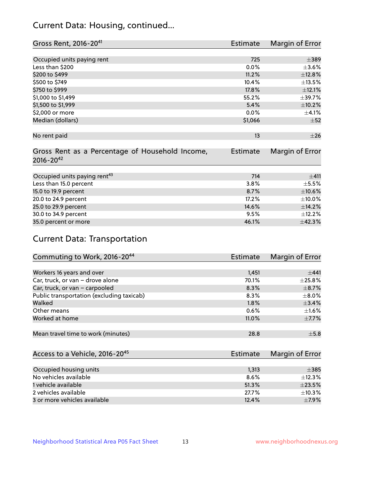# Current Data: Housing, continued...

| Gross Rent, 2016-20 <sup>41</sup>               | <b>Estimate</b> | Margin of Error |
|-------------------------------------------------|-----------------|-----------------|
|                                                 |                 |                 |
| Occupied units paying rent                      | 725             | $\pm$ 389       |
| Less than \$200                                 | 0.0%            | $\pm 3.6\%$     |
| \$200 to \$499                                  | 11.2%           | ±12.8%          |
| \$500 to \$749                                  | 10.4%           | ±13.5%          |
| \$750 to \$999                                  | 17.8%           | ±12.1%          |
| \$1,000 to \$1,499                              | 55.2%           | ±39.7%          |
| \$1,500 to \$1,999                              | 5.4%            | $\pm$ 10.2%     |
| \$2,000 or more                                 | 0.0%            | $\pm$ 4.1%      |
| Median (dollars)                                | \$1,066         | $\pm$ 52        |
|                                                 |                 |                 |
| No rent paid                                    | 13              | $\pm 26$        |
|                                                 |                 |                 |
| Gross Rent as a Percentage of Household Income, | <b>Estimate</b> | Margin of Error |
| $2016 - 20^{42}$                                |                 |                 |
|                                                 |                 |                 |
| Occupied units paying rent <sup>43</sup>        | 714             | ±411            |
| Less than 15.0 percent                          | 3.8%            | $\pm$ 5.5%      |
| 15.0 to 19.9 percent                            | 8.7%            | $\pm 10.6\%$    |
| 20.0 to 24.9 percent                            | 17.2%           | $\pm$ 10.0%     |
| 25.0 to 29.9 percent                            | 14.6%           | ±14.2%          |
| 30.0 to 34.9 percent                            | 9.5%            | ±12.2%          |
| 35.0 percent or more                            | 46.1%           | ±42.3%          |

# Current Data: Transportation

| Commuting to Work, 2016-20 <sup>44</sup>  | <b>Estimate</b> | Margin of Error |
|-------------------------------------------|-----------------|-----------------|
|                                           |                 |                 |
| Workers 16 years and over                 | 1,451           | ±441            |
| Car, truck, or van - drove alone          | 70.1%           | $\pm 25.8\%$    |
| Car, truck, or van - carpooled            | 8.3%            | $\pm$ 8.7%      |
| Public transportation (excluding taxicab) | $8.3\%$         | $\pm$ 8.0%      |
| Walked                                    | 1.8%            | $\pm$ 3.4%      |
| Other means                               | 0.6%            | $\pm 1.6\%$     |
| Worked at home                            | 11.0%           | $\pm$ 7.7%      |
|                                           |                 |                 |
| Mean travel time to work (minutes)        | 28.8            | $\pm$ 5.8       |

| Access to a Vehicle, 2016-20 <sup>45</sup> | <b>Estimate</b> | Margin of Error |
|--------------------------------------------|-----------------|-----------------|
|                                            |                 |                 |
| Occupied housing units                     | 1,313           | $\pm$ 385       |
| No vehicles available                      | 8.6%            | $+12.3%$        |
| 1 vehicle available                        | 51.3%           | $\pm 23.5\%$    |
| 2 vehicles available                       | 27.7%           | $+10.3%$        |
| 3 or more vehicles available               | 12.4%           | $+7.9%$         |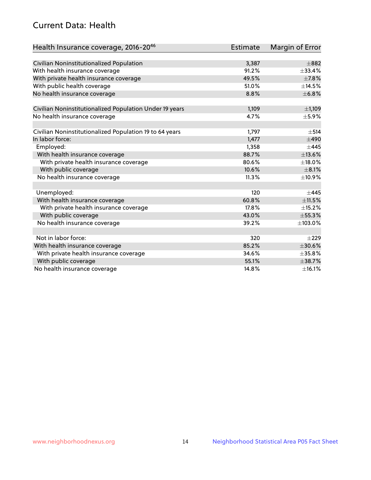# Current Data: Health

| Health Insurance coverage, 2016-2046                    | <b>Estimate</b> | Margin of Error |
|---------------------------------------------------------|-----------------|-----------------|
|                                                         |                 |                 |
| Civilian Noninstitutionalized Population                | 3,387           | $\pm$ 882       |
| With health insurance coverage                          | 91.2%           | ±33.4%          |
| With private health insurance coverage                  | 49.5%           | $\pm$ 7.8%      |
| With public health coverage                             | 51.0%           | ±14.5%          |
| No health insurance coverage                            | 8.8%            | ±6.8%           |
| Civilian Noninstitutionalized Population Under 19 years | 1,109           | ±1,109          |
| No health insurance coverage                            | 4.7%            | $\pm$ 5.9%      |
|                                                         |                 |                 |
| Civilian Noninstitutionalized Population 19 to 64 years | 1,797           | $\pm$ 514       |
| In labor force:                                         | 1,477           | $\pm 490$       |
| Employed:                                               | 1,358           | $\pm$ 445       |
| With health insurance coverage                          | 88.7%           | ±13.6%          |
| With private health insurance coverage                  | 80.6%           | ±18.0%          |
| With public coverage                                    | 10.6%           | $\pm$ 8.1%      |
| No health insurance coverage                            | 11.3%           | ±10.9%          |
|                                                         |                 |                 |
| Unemployed:                                             | 120             | $+445$          |
| With health insurance coverage                          | 60.8%           | ±11.5%          |
| With private health insurance coverage                  | 17.8%           | ±15.2%          |
| With public coverage                                    | 43.0%           | $\pm$ 55.3%     |
| No health insurance coverage                            | 39.2%           | ±103.0%         |
|                                                         |                 |                 |
| Not in labor force:                                     | 320             | $\pm 229$       |
| With health insurance coverage                          | 85.2%           | ±30.6%          |
| With private health insurance coverage                  | 34.6%           | $\pm$ 35.8%     |
| With public coverage                                    | 55.1%           | ±38.7%          |
| No health insurance coverage                            | 14.8%           | $\pm$ 16.1%     |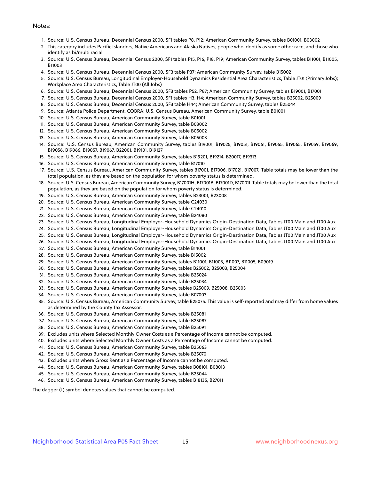#### Notes:

- 1. Source: U.S. Census Bureau, Decennial Census 2000, SF1 tables P8, P12; American Community Survey, tables B01001, B03002
- 2. This category includes Pacific Islanders, Native Americans and Alaska Natives, people who identify as some other race, and those who identify as bi/multi racial.
- 3. Source: U.S. Census Bureau, Decennial Census 2000, SF1 tables P15, P16, P18, P19; American Community Survey, tables B11001, B11005, B11003
- 4. Source: U.S. Census Bureau, Decennial Census 2000, SF3 table P37; American Community Survey, table B15002
- 5. Source: U.S. Census Bureau, Longitudinal Employer-Household Dynamics Residential Area Characteristics, Table JT01 (Primary Jobs); Workplace Area Characteristics, Table JT00 (All Jobs)
- 6. Source: U.S. Census Bureau, Decennial Census 2000, SF3 tables P52, P87; American Community Survey, tables B19001, B17001
- 7. Source: U.S. Census Bureau, Decennial Census 2000, SF1 tables H3, H4; American Community Survey, tables B25002, B25009
- 8. Source: U.S. Census Bureau, Decennial Census 2000, SF3 table H44; American Community Survey, tables B25044
- 9. Source: Atlanta Police Department, COBRA; U.S. Census Bureau, American Community Survey, table B01001
- 10. Source: U.S. Census Bureau, American Community Survey, table B01001
- 11. Source: U.S. Census Bureau, American Community Survey, table B03002
- 12. Source: U.S. Census Bureau, American Community Survey, table B05002
- 13. Source: U.S. Census Bureau, American Community Survey, table B05003
- 14. Source: U.S. Census Bureau, American Community Survey, tables B19001, B19025, B19051, B19061, B19055, B19065, B19059, B19069, B19056, B19066, B19057, B19067, B22001, B19101, B19127
- 15. Source: U.S. Census Bureau, American Community Survey, tables B19201, B19214, B20017, B19313
- 16. Source: U.S. Census Bureau, American Community Survey, table B17010
- 17. Source: U.S. Census Bureau, American Community Survey, tables B17001, B17006, B17021, B17007. Table totals may be lower than the total population, as they are based on the population for whom poverty status is determined.
- 18. Source: U.S. Census Bureau, American Community Survey, B17001H, B17001B, B17001D, B17001I. Table totals may be lower than the total population, as they are based on the population for whom poverty status is determined.
- 19. Source: U.S. Census Bureau, American Community Survey, tables B23001, B23008
- 20. Source: U.S. Census Bureau, American Community Survey, table C24030
- 21. Source: U.S. Census Bureau, American Community Survey, table C24010
- 22. Source: U.S. Census Bureau, American Community Survey, table B24080
- 23. Source: U.S. Census Bureau, Longitudinal Employer-Household Dynamics Origin-Destination Data, Tables JT00 Main and JT00 Aux
- 24. Source: U.S. Census Bureau, Longitudinal Employer-Household Dynamics Origin-Destination Data, Tables JT00 Main and JT00 Aux
- 25. Source: U.S. Census Bureau, Longitudinal Employer-Household Dynamics Origin-Destination Data, Tables JT00 Main and JT00 Aux
- 26. Source: U.S. Census Bureau, Longitudinal Employer-Household Dynamics Origin-Destination Data, Tables JT00 Main and JT00 Aux
- 27. Source: U.S. Census Bureau, American Community Survey, table B14001
- 28. Source: U.S. Census Bureau, American Community Survey, table B15002
- 29. Source: U.S. Census Bureau, American Community Survey, tables B11001, B11003, B11007, B11005, B09019
- 30. Source: U.S. Census Bureau, American Community Survey, tables B25002, B25003, B25004
- 31. Source: U.S. Census Bureau, American Community Survey, table B25024
- 32. Source: U.S. Census Bureau, American Community Survey, table B25034
- 33. Source: U.S. Census Bureau, American Community Survey, tables B25009, B25008, B25003
- 34. Source: U.S. Census Bureau, American Community Survey, table B07003
- 35. Source: U.S. Census Bureau, American Community Survey, table B25075. This value is self-reported and may differ from home values as determined by the County Tax Assessor.
- 36. Source: U.S. Census Bureau, American Community Survey, table B25081
- 37. Source: U.S. Census Bureau, American Community Survey, table B25087
- 38. Source: U.S. Census Bureau, American Community Survey, table B25091
- 39. Excludes units where Selected Monthly Owner Costs as a Percentage of Income cannot be computed.
- 40. Excludes units where Selected Monthly Owner Costs as a Percentage of Income cannot be computed.
- 41. Source: U.S. Census Bureau, American Community Survey, table B25063
- 42. Source: U.S. Census Bureau, American Community Survey, table B25070
- 43. Excludes units where Gross Rent as a Percentage of Income cannot be computed.
- 44. Source: U.S. Census Bureau, American Community Survey, tables B08101, B08013
- 45. Source: U.S. Census Bureau, American Community Survey, table B25044
- 46. Source: U.S. Census Bureau, American Community Survey, tables B18135, B27011

The dagger (†) symbol denotes values that cannot be computed.